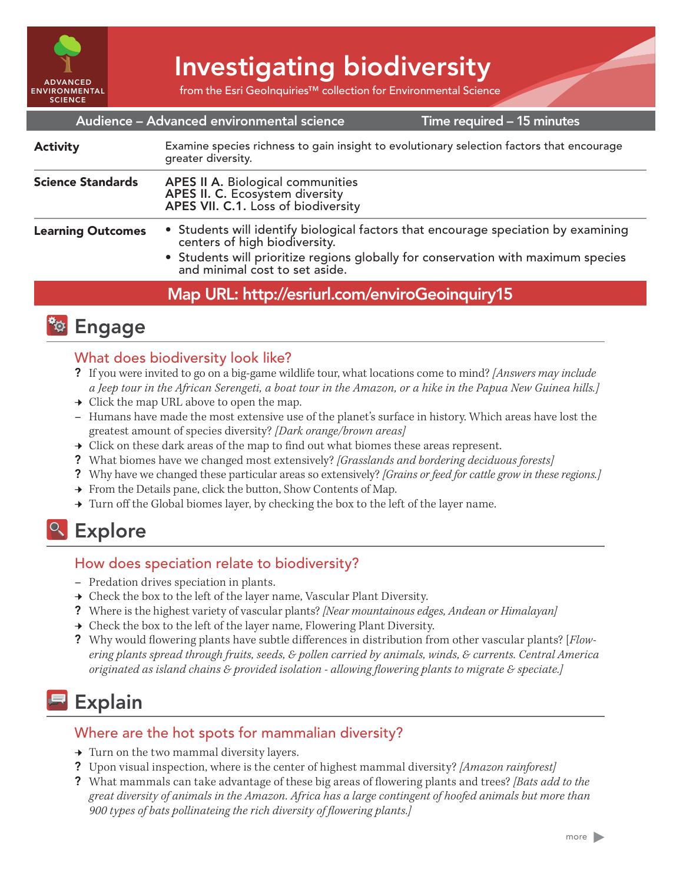

Investigating biodiversity

from the Esri GeoInquiries™ collection for Environmental Science

#### Time required – 15 minutes Audience – Advanced environmental science Examine species richness to gain insight to evolutionary selection factors that encourage greater diversity. APES II A. Biological communities APES II. C. Ecosystem diversity APES VII. C.1. Loss of biodiversity • Students will identify biological factors that encourage speciation by examining centers of high biodiversity. • Students will prioritize regions globally for conservation with maximum species and minimal cost to set aside. Science Standards Learning Outcomes Activity

## Map URL: http://esriurl.com/enviroGeoinquiry15



### What does biodiversity look like?

- ? If you were invited to go on a big-game wildlife tour, what locations come to mind? *[Answers may include a Jeep tour in the African Serengeti, a boat tour in the Amazon, or a hike in the Papua New Guinea hills.]*
- $\rightarrow$  Click the map URL above to open the map.
- **–** Humans have made the most extensive use of the planet's surface in history. Which areas have lost the greatest amount of species diversity? *[Dark orange/brown areas]*
- $\rightarrow$  Click on these dark areas of the map to find out what biomes these areas represent.
- ? What biomes have we changed most extensively? *[Grasslands and bordering deciduous forests]*
- ? Why have we changed these particular areas so extensively? *[Grains or feed for cattle grow in these regions.]*
- → From the Details pane, click the button, Show Contents of Map.
- $\rightarrow$  Turn off the Global biomes layer, by checking the box to the left of the layer name.

## <sup>o</sup> Explore

#### How does speciation relate to biodiversity?

- **–** Predation drives speciation in plants.
- $\rightarrow$  Check the box to the left of the layer name, Vascular Plant Diversity.
- ? Where is the highest variety of vascular plants? *[Near mountainous edges, Andean or Himalayan]*
- → Check the box to the left of the layer name, Flowering Plant Diversity.
- ? Why would flowering plants have subtle differences in distribution from other vascular plants? [*Flowering plants spread through fruits, seeds, & pollen carried by animals, winds, & currents. Central America originated as island chains & provided isolation - allowing flowering plants to migrate & speciate.]*

# Explain

#### Where are the hot spots for mammalian diversity?

- → Turn on the two mammal diversity layers.
- ? Upon visual inspection, where is the center of highest mammal diversity? *[Amazon rainforest]*
- ? What mammals can take advantage of these big areas of flowering plants and trees? *[Bats add to the great diversity of animals in the Amazon. Africa has a large contingent of hoofed animals but more than 900 types of bats pollinateing the rich diversity of flowering plants.]*